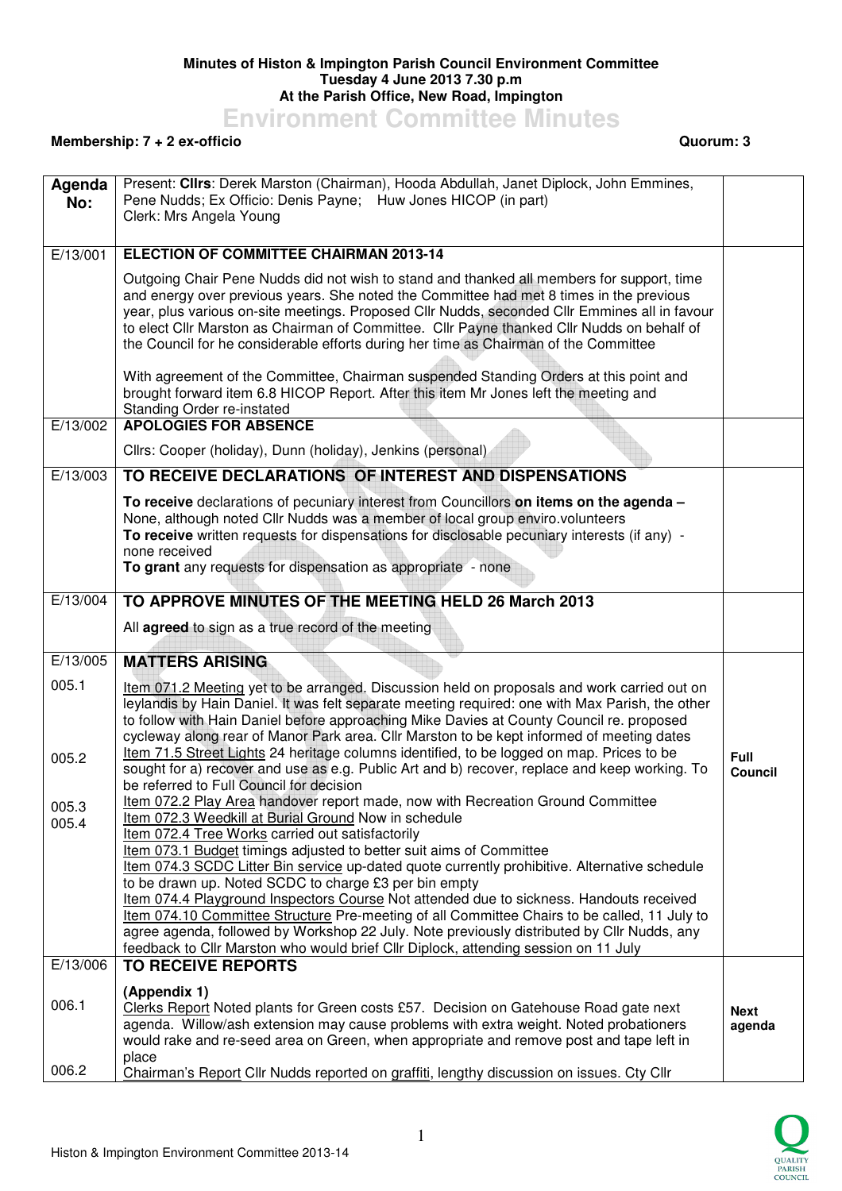## **Minutes of Histon & Impington Parish Council Environment Committee Tuesday 4 June 2013 7.30 p.m At the Parish Office, New Road, Impington**

**Environment Committee Minutes** 

## **Membership: 7 + 2 ex-officio Quorum: 3**

| Agenda<br>No:  | Present: Clirs: Derek Marston (Chairman), Hooda Abdullah, Janet Diplock, John Emmines,<br>Pene Nudds; Ex Officio: Denis Payne; Huw Jones HICOP (in part)<br>Clerk: Mrs Angela Young                                                                                                                                                                                                                                                                                                                                                                                                                                                                                                                                                                                                                          |                               |
|----------------|--------------------------------------------------------------------------------------------------------------------------------------------------------------------------------------------------------------------------------------------------------------------------------------------------------------------------------------------------------------------------------------------------------------------------------------------------------------------------------------------------------------------------------------------------------------------------------------------------------------------------------------------------------------------------------------------------------------------------------------------------------------------------------------------------------------|-------------------------------|
|                |                                                                                                                                                                                                                                                                                                                                                                                                                                                                                                                                                                                                                                                                                                                                                                                                              |                               |
| E/13/001       | <b>ELECTION OF COMMITTEE CHAIRMAN 2013-14</b>                                                                                                                                                                                                                                                                                                                                                                                                                                                                                                                                                                                                                                                                                                                                                                |                               |
|                | Outgoing Chair Pene Nudds did not wish to stand and thanked all members for support, time<br>and energy over previous years. She noted the Committee had met 8 times in the previous<br>year, plus various on-site meetings. Proposed Cllr Nudds, seconded Cllr Emmines all in favour<br>to elect Cllr Marston as Chairman of Committee. Cllr Payne thanked Cllr Nudds on behalf of<br>the Council for he considerable efforts during her time as Chairman of the Committee                                                                                                                                                                                                                                                                                                                                  |                               |
| E/13/002       | With agreement of the Committee, Chairman suspended Standing Orders at this point and<br>brought forward item 6.8 HICOP Report. After this item Mr Jones left the meeting and<br>Standing Order re-instated<br><b>APOLOGIES FOR ABSENCE</b>                                                                                                                                                                                                                                                                                                                                                                                                                                                                                                                                                                  |                               |
|                | Cllrs: Cooper (holiday), Dunn (holiday), Jenkins (personal)                                                                                                                                                                                                                                                                                                                                                                                                                                                                                                                                                                                                                                                                                                                                                  |                               |
| E/13/003       | TO RECEIVE DECLARATIONS OF INTEREST AND DISPENSATIONS                                                                                                                                                                                                                                                                                                                                                                                                                                                                                                                                                                                                                                                                                                                                                        |                               |
|                | To receive declarations of pecuniary interest from Councillors on items on the agenda -<br>None, although noted Cllr Nudds was a member of local group enviro.volunteers<br>To receive written requests for dispensations for disclosable pecuniary interests (if any) -<br>none received<br>To grant any requests for dispensation as appropriate - none                                                                                                                                                                                                                                                                                                                                                                                                                                                    |                               |
| E/13/004       | TO APPROVE MINUTES OF THE MEETING HELD 26 March 2013                                                                                                                                                                                                                                                                                                                                                                                                                                                                                                                                                                                                                                                                                                                                                         |                               |
|                | All agreed to sign as a true record of the meeting                                                                                                                                                                                                                                                                                                                                                                                                                                                                                                                                                                                                                                                                                                                                                           |                               |
| E/13/005       | <b>MATTERS ARISING</b>                                                                                                                                                                                                                                                                                                                                                                                                                                                                                                                                                                                                                                                                                                                                                                                       |                               |
| 005.1<br>005.2 | Item 071.2 Meeting yet to be arranged. Discussion held on proposals and work carried out on<br>leylandis by Hain Daniel. It was felt separate meeting required: one with Max Parish, the other<br>to follow with Hain Daniel before approaching Mike Davies at County Council re. proposed<br>cycleway along rear of Manor Park area. Cllr Marston to be kept informed of meeting dates<br>Item 71.5 Street Lights 24 heritage columns identified, to be logged on map. Prices to be<br>sought for a) recover and use as e.g. Public Art and b) recover, replace and keep working. To<br>be referred to Full Council for decision                                                                                                                                                                            | <b>Full</b><br><b>Council</b> |
| 005.3<br>005.4 | Item 072.2 Play Area handover report made, now with Recreation Ground Committee<br>Item 072.3 Weedkill at Burial Ground Now in schedule<br>Item 072.4 Tree Works carried out satisfactorily<br>Item 073.1 Budget timings adjusted to better suit aims of Committee<br>Item 074.3 SCDC Litter Bin service up-dated quote currently prohibitive. Alternative schedule<br>to be drawn up. Noted SCDC to charge £3 per bin empty<br>Item 074.4 Playground Inspectors Course Not attended due to sickness. Handouts received<br>Item 074.10 Committee Structure Pre-meeting of all Committee Chairs to be called, 11 July to<br>agree agenda, followed by Workshop 22 July. Note previously distributed by Cllr Nudds, any<br>feedback to Cllr Marston who would brief Cllr Diplock, attending session on 11 July |                               |
| E/13/006       | <b>TO RECEIVE REPORTS</b>                                                                                                                                                                                                                                                                                                                                                                                                                                                                                                                                                                                                                                                                                                                                                                                    |                               |
| 006.1          | (Appendix 1)<br>Clerks Report Noted plants for Green costs £57. Decision on Gatehouse Road gate next<br>agenda. Willow/ash extension may cause problems with extra weight. Noted probationers<br>would rake and re-seed area on Green, when appropriate and remove post and tape left in<br>place                                                                                                                                                                                                                                                                                                                                                                                                                                                                                                            | <b>Next</b><br>agenda         |
| 006.2          | Chairman's Report Cllr Nudds reported on graffiti, lengthy discussion on issues. Cty Cllr                                                                                                                                                                                                                                                                                                                                                                                                                                                                                                                                                                                                                                                                                                                    |                               |

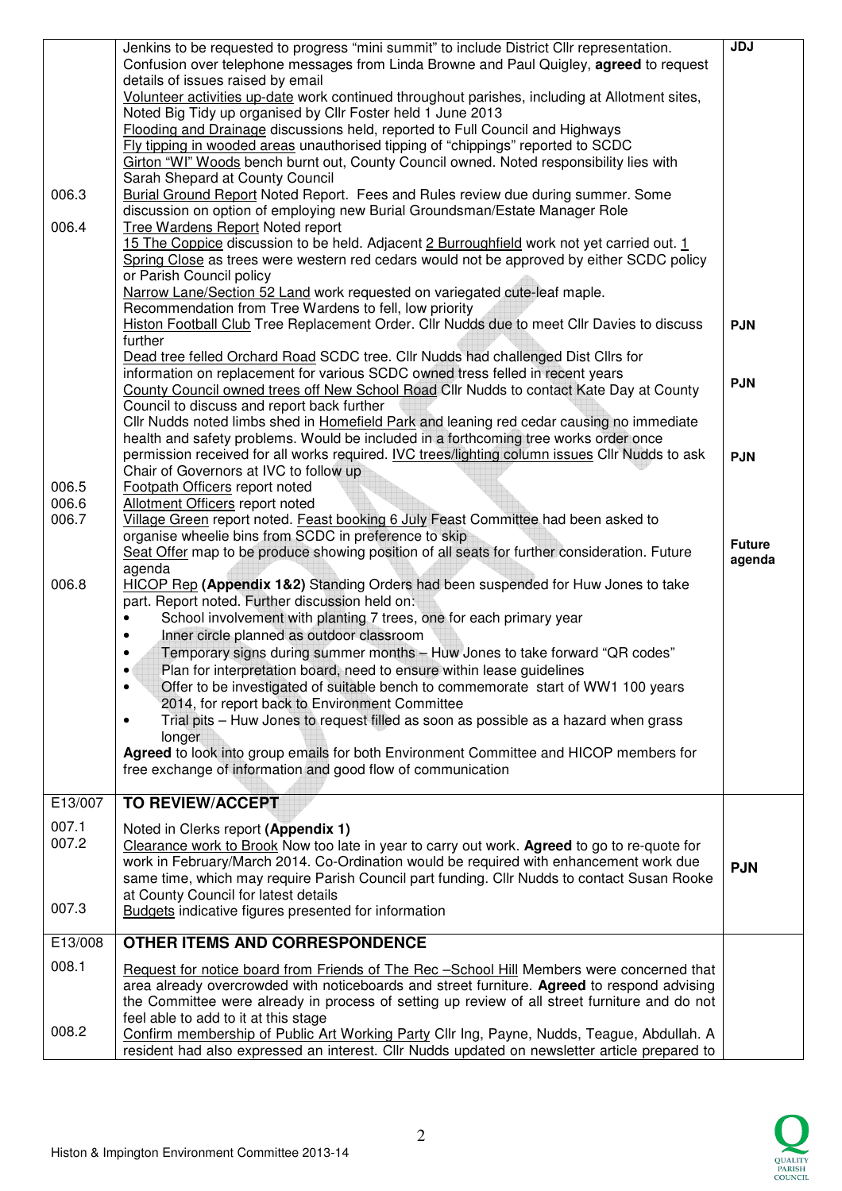| 006.3<br>006.4          | Jenkins to be requested to progress "mini summit" to include District Cllr representation.<br>Confusion over telephone messages from Linda Browne and Paul Quigley, agreed to request<br>details of issues raised by email<br>Volunteer activities up-date work continued throughout parishes, including at Allotment sites,<br>Noted Big Tidy up organised by Cllr Foster held 1 June 2013<br>Flooding and Drainage discussions held, reported to Full Council and Highways<br>Fly tipping in wooded areas unauthorised tipping of "chippings" reported to SCDC<br>Girton "WI" Woods bench burnt out, County Council owned. Noted responsibility lies with<br>Sarah Shepard at County Council<br>Burial Ground Report Noted Report. Fees and Rules review due during summer. Some<br>discussion on option of employing new Burial Groundsman/Estate Manager Role<br>Tree Wardens Report Noted report<br>15 The Coppice discussion to be held. Adjacent 2 Burroughfield work not yet carried out. 1<br>Spring Close as trees were western red cedars would not be approved by either SCDC policy<br>or Parish Council policy | JDJ                      |
|-------------------------|------------------------------------------------------------------------------------------------------------------------------------------------------------------------------------------------------------------------------------------------------------------------------------------------------------------------------------------------------------------------------------------------------------------------------------------------------------------------------------------------------------------------------------------------------------------------------------------------------------------------------------------------------------------------------------------------------------------------------------------------------------------------------------------------------------------------------------------------------------------------------------------------------------------------------------------------------------------------------------------------------------------------------------------------------------------------------------------------------------------------------|--------------------------|
|                         | Narrow Lane/Section 52 Land work requested on variegated cute-leaf maple.<br>Recommendation from Tree Wardens to fell, low priority<br>Histon Football Club Tree Replacement Order. Cllr Nudds due to meet Cllr Davies to discuss<br>further<br>Dead tree felled Orchard Road SCDC tree. Cllr Nudds had challenged Dist Cllrs for<br>information on replacement for various SCDC owned tress felled in recent years<br>County Council owned trees off New School Road Cllr Nudds to contact Kate Day at County<br>Council to discuss and report back further<br>Cllr Nudds noted limbs shed in Homefield Park and leaning red cedar causing no immediate<br>health and safety problems. Would be included in a forthcoming tree works order once                                                                                                                                                                                                                                                                                                                                                                             | <b>PJN</b><br><b>PJN</b> |
| 006.5<br>006.6<br>006.7 | permission received for all works required. IVC trees/lighting column issues Cllr Nudds to ask<br>Chair of Governors at IVC to follow up<br>Footpath Officers report noted<br>Allotment Officers report noted<br>Village Green report noted. Feast booking 6 July Feast Committee had been asked to<br>organise wheelie bins from SCDC in preference to skip                                                                                                                                                                                                                                                                                                                                                                                                                                                                                                                                                                                                                                                                                                                                                                 | <b>PJN</b>               |
| 006.8                   | Seat Offer map to be produce showing position of all seats for further consideration. Future<br>agenda<br>HICOP Rep (Appendix 1&2) Standing Orders had been suspended for Huw Jones to take<br>part. Report noted. Further discussion held on:<br>School involvement with planting 7 trees, one for each primary year<br>Inner circle planned as outdoor classroom<br>Temporary signs during summer months - Huw Jones to take forward "QR codes"<br>Plan for interpretation board, need to ensure within lease guidelines<br>Offer to be investigated of suitable bench to commemorate start of WW1 100 years<br>$\bullet$<br>2014, for report back to Environment Committee<br>Trial pits - Huw Jones to request filled as soon as possible as a hazard when grass<br>$\bullet$<br>longer<br>Agreed to look into group emails for both Environment Committee and HICOP members for<br>free exchange of information and good flow of communication                                                                                                                                                                          | <b>Future</b><br>agenda  |
| E13/007                 | <b>TO REVIEW/ACCEPT</b>                                                                                                                                                                                                                                                                                                                                                                                                                                                                                                                                                                                                                                                                                                                                                                                                                                                                                                                                                                                                                                                                                                      |                          |
| 007.1<br>007.2<br>007.3 | Noted in Clerks report (Appendix 1)<br>Clearance work to Brook Now too late in year to carry out work. Agreed to go to re-quote for<br>work in February/March 2014. Co-Ordination would be required with enhancement work due<br>same time, which may require Parish Council part funding. Cllr Nudds to contact Susan Rooke<br>at County Council for latest details                                                                                                                                                                                                                                                                                                                                                                                                                                                                                                                                                                                                                                                                                                                                                         | <b>PJN</b>               |
|                         | <b>Budgets</b> indicative figures presented for information                                                                                                                                                                                                                                                                                                                                                                                                                                                                                                                                                                                                                                                                                                                                                                                                                                                                                                                                                                                                                                                                  |                          |
| E13/008<br>008.1        | OTHER ITEMS AND CORRESPONDENCE<br>Request for notice board from Friends of The Rec -School Hill Members were concerned that<br>area already overcrowded with noticeboards and street furniture. Agreed to respond advising<br>the Committee were already in process of setting up review of all street furniture and do not                                                                                                                                                                                                                                                                                                                                                                                                                                                                                                                                                                                                                                                                                                                                                                                                  |                          |
| 008.2                   | feel able to add to it at this stage<br>Confirm membership of Public Art Working Party Cllr Ing, Payne, Nudds, Teague, Abdullah. A<br>resident had also expressed an interest. Cllr Nudds updated on newsletter article prepared to                                                                                                                                                                                                                                                                                                                                                                                                                                                                                                                                                                                                                                                                                                                                                                                                                                                                                          |                          |